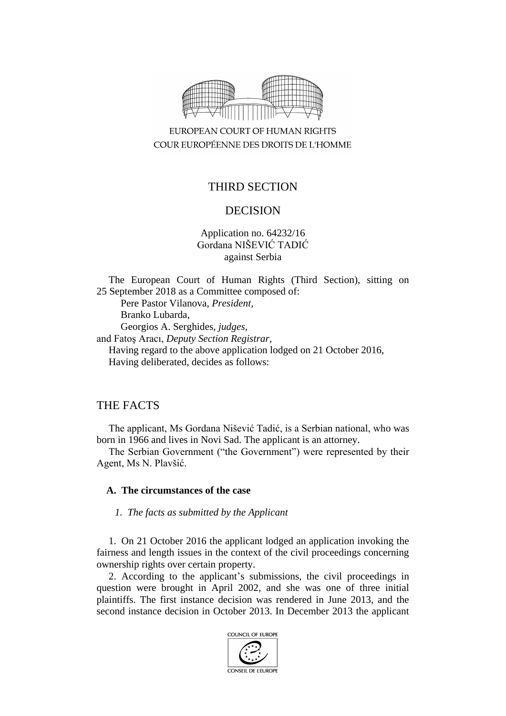

EUROPEAN COURT OF HUMAN RIGHTS COUR EUROPÉENNE DES DROITS DE L'HOMME

# THIRD SECTION

# DECISION

Application no. 64232/16 Gordana NIŠEVIĆ TADIĆ against Serbia

The European Court of Human Rights (Third Section), sitting on 25 September 2018 as a Committee composed of: Pere Pastor Vilanova, *President,* Branko Lubarda, Georgios A. Serghides, *judges,* and Fatoş Aracı, *Deputy Section Registrar,* Having regard to the above application lodged on 21 October 2016, Having deliberated, decides as follows:

# THE FACTS

The applicant, Ms Gordana Nišević Tadić, is a Serbian national, who was born in 1966 and lives in Novi Sad. The applicant is an attorney.

The Serbian Government ("the Government") were represented by their Agent, Ms N. Plavšić.

### **A. The circumstances of the case**

*1. The facts as submitted by the Applicant*

1. On 21 October 2016 the applicant lodged an application invoking the fairness and length issues in the context of the civil proceedings concerning ownership rights over certain property.

2. According to the applicant's submissions, the civil proceedings in question were brought in April 2002, and she was one of three initial plaintiffs. The first instance decision was rendered in June 2013, and the second instance decision in October 2013. In December 2013 the applicant

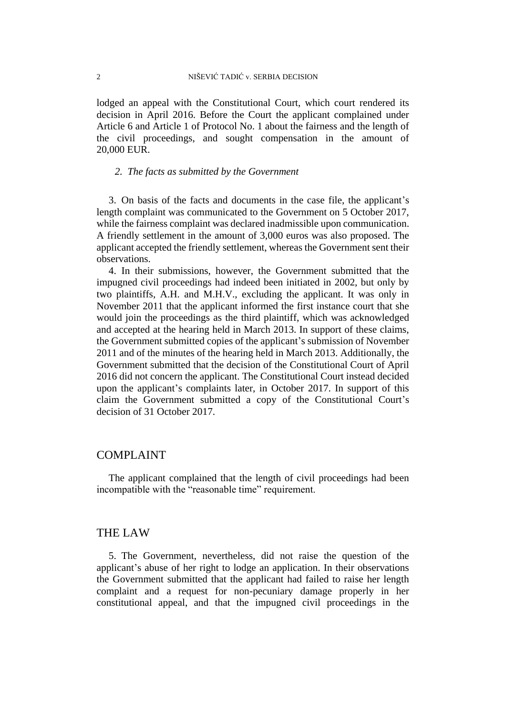lodged an appeal with the Constitutional Court, which court rendered its decision in April 2016. Before the Court the applicant complained under Article 6 and Article 1 of Protocol No. 1 about the fairness and the length of the civil proceedings, and sought compensation in the amount of 20,000 EUR.

### *2. The facts as submitted by the Government*

3. On basis of the facts and documents in the case file, the applicant's length complaint was communicated to the Government on 5 October 2017, while the fairness complaint was declared inadmissible upon communication. A friendly settlement in the amount of 3,000 euros was also proposed. The applicant accepted the friendly settlement, whereas the Government sent their observations.

4. In their submissions, however, the Government submitted that the impugned civil proceedings had indeed been initiated in 2002, but only by two plaintiffs, A.H. and M.H.V., excluding the applicant. It was only in November 2011 that the applicant informed the first instance court that she would join the proceedings as the third plaintiff, which was acknowledged and accepted at the hearing held in March 2013. In support of these claims, the Government submitted copies of the applicant's submission of November 2011 and of the minutes of the hearing held in March 2013. Additionally, the Government submitted that the decision of the Constitutional Court of April 2016 did not concern the applicant. The Constitutional Court instead decided upon the applicant's complaints later, in October 2017. In support of this claim the Government submitted a copy of the Constitutional Court's decision of 31 October 2017.

### COMPLAINT

The applicant complained that the length of civil proceedings had been incompatible with the "reasonable time" requirement.

### THE LAW

5. The Government, nevertheless, did not raise the question of the applicant's abuse of her right to lodge an application. In their observations the Government submitted that the applicant had failed to raise her length complaint and a request for non-pecuniary damage properly in her constitutional appeal, and that the impugned civil proceedings in the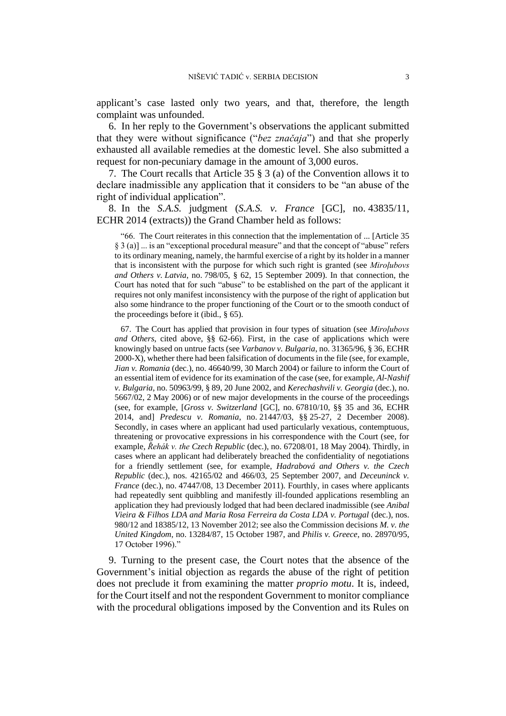applicant's case lasted only two years, and that, therefore, the length complaint was unfounded.

6. In her reply to the Government's observations the applicant submitted that they were without significance ("*bez značaja*") and that she properly exhausted all available remedies at the domestic level. She also submitted a request for non-pecuniary damage in the amount of 3,000 euros.

7. The Court recalls that Article 35 § 3 (a) of the Convention allows it to declare inadmissible any application that it considers to be "an abuse of the right of individual application".

8. In the *S.A.S.* judgment (*S.A.S. v. France* [GC], no. 43835/11, ECHR 2014 (extracts)) the Grand Chamber held as follows:

"66. The Court reiterates in this connection that the implementation of ... [Article 35 § 3 (a)] ... is an "exceptional procedural measure" and that the concept of "abuse" refers to its ordinary meaning, namely, the harmful exercise of a right by its holder in a manner that is inconsistent with the purpose for which such right is granted (see *Miroļubovs and Others v. Latvia*, no. 798/05, § 62, 15 September 2009). In that connection, the Court has noted that for such "abuse" to be established on the part of the applicant it requires not only manifest inconsistency with the purpose of the right of application but also some hindrance to the proper functioning of the Court or to the smooth conduct of the proceedings before it (ibid., § 65).

67. The Court has applied that provision in four types of situation (see *Miroļubovs and Others*, cited above, §§ 62-66). First, in the case of applications which were knowingly based on untrue facts (see *Varbanov v. Bulgaria*, no. 31365/96, § 36, ECHR 2000-X), whether there had been falsification of documents in the file (see, for example, *Jian v. Romania* (dec.), no. 46640/99, 30 March 2004) or failure to inform the Court of an essential item of evidence for its examination of the case (see, for example, *Al-Nashif v. Bulgaria*, no. 50963/99, § 89, 20 June 2002, and *Kerechashvili v. Georgia* (dec.), no. 5667/02, 2 May 2006) or of new major developments in the course of the proceedings (see, for example, [*Gross v. Switzerland* [GC], no. 67810/10, §§ 35 and 36, ECHR 2014, and] *Predescu v. Romania*, no. 21447/03, §§ 25-27, 2 December 2008). Secondly, in cases where an applicant had used particularly vexatious, contemptuous, threatening or provocative expressions in his correspondence with the Court (see, for example, *Řehák v. the Czech Republic* (dec.), no. 67208/01, 18 May 2004). Thirdly, in cases where an applicant had deliberately breached the confidentiality of negotiations for a friendly settlement (see, for example, *Hadrabová and Others v. the Czech Republic* (dec.), nos. 42165/02 and 466/03, 25 September 2007, and *Deceuninck v. France* (dec.), no. 47447/08, 13 December 2011). Fourthly, in cases where applicants had repeatedly sent quibbling and manifestly ill-founded applications resembling an application they had previously lodged that had been declared inadmissible (see *Anibal Vieira & Filhos LDA and Maria Rosa Ferreira da Costa LDA v. Portugal* (dec.), nos. 980/12 and 18385/12, 13 November 2012; see also the Commission decisions *M. v. the United Kingdom*, no. 13284/87, 15 October 1987, and *Philis v. Greece*, no. 28970/95, 17 October 1996)."

9. Turning to the present case, the Court notes that the absence of the Government's initial objection as regards the abuse of the right of petition does not preclude it from examining the matter *proprio motu*. It is, indeed, for the Court itself and not the respondent Government to monitor compliance with the procedural obligations imposed by the Convention and its Rules on